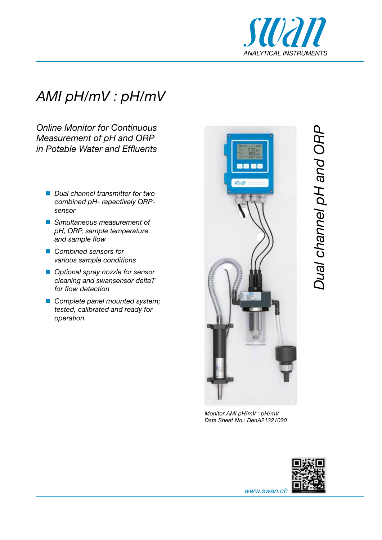

# *AMI pH/mV : pH/mV*

*Online Monitor for Continuous Measurement of pH and ORP in Potable Water and Effluents*

- *Dual channel transmitter for two combined pH- repectively ORPsensor*
- *Simultaneous measurement of pH, ORP, sample temperature and sample flow*
- *Combined sensors for various sample conditions*
- *Optional spray nozzle for sensor cleaning and swansensor deltaT for flow detection*
- *Complete panel mounted system; tested, calibrated and ready for operation.*



*Monitor AMI pH/mV : pH/mV Data Sheet No.: DenA21321020*



Dual channel pH and ORP *Dual channel pH and ORP*